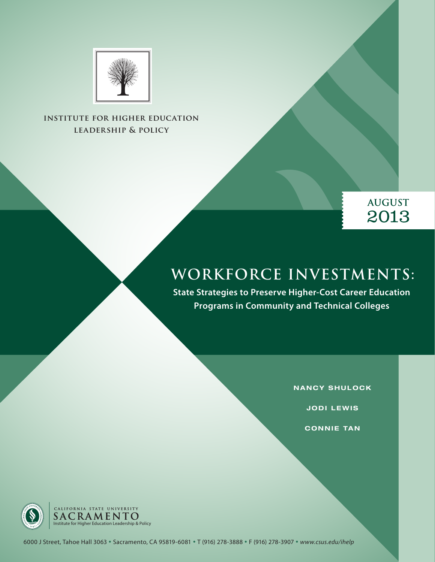



# **WORKFORCE INVESTMENTS:**

**State Strategies to Preserve Higher-Cost Career Education Programs in Community and Technical Colleges**

**NANCY SHULOCK**

**JODI LEWIS**

**CONNIE TAN** 



6000 J Street, Tahoe Hall 3063 **•** Sacramento, CA 95819-6081 **•** T (916) 278-3888 **•** F (916) 278-3907 **•** *www.csus.edu/ihelp*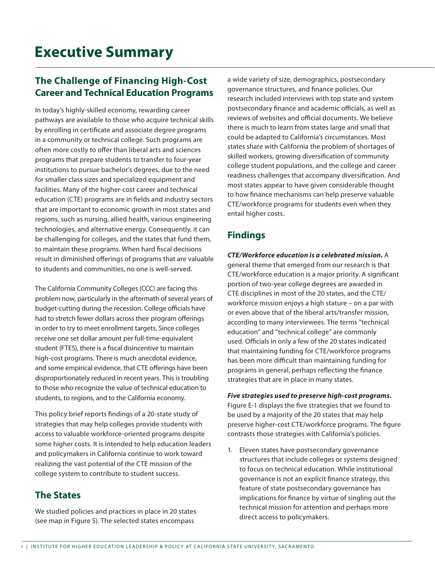### **The Challenge of Financing High-Cost Career and Technical Education Programs**

In today's highly-skilled economy, rewarding career pathways are available to those who acquire technical skills by enrolling in certificate and associate degree programs in a community or technical college. Such programs are often more costly to offer than liberal arts and sciences programs that prepare students to transfer to four-year institutions to pursue bachelor's degrees, due to the need for smaller class sizes and specialized equipment and facilities. Many of the higher-cost career and technical education (CTE) programs are in fields and industry sectors that are important to economic growth in most states and regions, such as nursing, allied health, various engineering technologies, and alternative energy. Consequently, it can be challenging for colleges, and the states that fund them, to maintain these programs. When hard fiscal decisions result in diminished offerings of programs that are valuable to students and communities, no one is well-served.

The California Community Colleges (CCC) are facing this problem now, particularly in the aftermath of several years of budget-cutting during the recession. College officials have had to stretch fewer dollars across their program offerings in order to try to meet enrollment targets. Since colleges receive one set dollar amount per full-time-equivalent student (FTES), there is a fiscal disincentive to maintain high-cost programs. There is much anecdotal evidence, and some empirical evidence, that CTE offerings have been disproportionately reduced in recent years. This is troubling to those who recognize the value of technical education to students, to regions, and to the California economy.

This policy brief reports findings of a 20-state study of strategies that may help colleges provide students with access to valuable workforce-oriented programs despite some higher costs. It is intended to help education leaders and policymakers in California continue to work toward realizing the vast potential of the CTE mission of the college system to contribute to student success.

#### **The States**

We studied policies and practices in place in 20 states (see map in Figure 5). The selected states encompass

a wide variety of size, demographics, postsecondary governance structures, and finance policies. Our research included interviews with top state and system postsecondary finance and academic officials, as well as reviews of websites and official documents. We believe there is much to learn from states large and small that could be adapted to California's circumstances. Most states share with California the problem of shortages of skilled workers, growing diversification of community college student populations, and the college and career readiness challenges that accompany diversification. And most states appear to have given considerable thought to how finance mechanisms can help preserve valuable CTE/workforce programs for students even when they entail higher costs.

### **Findings**

*CTE/Workforce education is a celebrated mission.* A general theme that emerged from our research is that CTE/workforce education is a major priority. A significant portion of two-year college degrees are awarded in CTE disciplines in most of the 20 states, and the CTE/ workforce mission enjoys a high stature – on a par with or even above that of the liberal arts/transfer mission, according to many interviewees. The terms "technical education" and "technical college" are commonly used. Officials in only a few of the 20 states indicated that maintaining funding for CTE/workforce programs has been more difficult than maintaining funding for programs in general, perhaps reflecting the finance strategies that are in place in many states.

#### *Five strategies used to preserve high-cost programs.*

Figure E-1 displays the five strategies that we found to be used by a majority of the 20 states that may help preserve higher-cost CTE/workforce programs. The figure contrasts those strategies with California's policies.

1. Eleven states have postsecondary governance structures that include colleges or systems designed to focus on technical education. While institutional governance is not an explicit finance strategy, this feature of state postsecondary governance has implications for finance by virtue of singling out the technical mission for attention and perhaps more direct access to policymakers.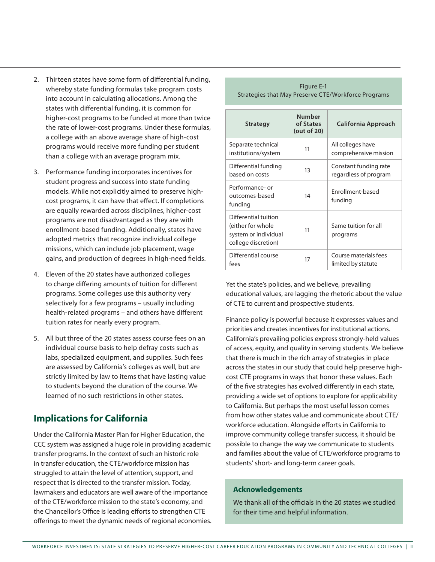- 2. Thirteen states have some form of differential funding, whereby state funding formulas take program costs into account in calculating allocations. Among the states with differential funding, it is common for higher-cost programs to be funded at more than twice the rate of lower-cost programs. Under these formulas, a college with an above average share of high-cost programs would receive more funding per student than a college with an average program mix.
- 3. Performance funding incorporates incentives for student progress and success into state funding models. While not explicitly aimed to preserve highcost programs, it can have that effect. If completions are equally rewarded across disciplines, higher-cost programs are not disadvantaged as they are with enrollment-based funding. Additionally, states have adopted metrics that recognize individual college missions, which can include job placement, wage gains, and production of degrees in high-need fields.
- 4. Eleven of the 20 states have authorized colleges to charge differing amounts of tuition for different programs. Some colleges use this authority very selectively for a few programs – usually including health-related programs – and others have different tuition rates for nearly every program.
- 5. All but three of the 20 states assess course fees on an individual course basis to help defray costs such as labs, specialized equipment, and supplies. Such fees are assessed by California's colleges as well, but are strictly limited by law to items that have lasting value to students beyond the duration of the course. We learned of no such restrictions in other states.

#### **Implications for California**

Under the California Master Plan for Higher Education, the CCC system was assigned a huge role in providing academic transfer programs. In the context of such an historic role in transfer education, the CTE/workforce mission has struggled to attain the level of attention, support, and respect that is directed to the transfer mission. Today, lawmakers and educators are well aware of the importance of the CTE/workforce mission to the state's economy, and the Chancellor's Office is leading efforts to strengthen CTE offerings to meet the dynamic needs of regional economies.

| <b>Strategy</b>                                                                          | <b>Number</b><br>of States<br>(out of 20) | California Approach                            |  |
|------------------------------------------------------------------------------------------|-------------------------------------------|------------------------------------------------|--|
| Separate technical<br>institutions/system                                                | 11                                        | All colleges have<br>comprehensive mission     |  |
| Differential funding<br>based on costs                                                   | 13                                        | Constant funding rate<br>regardless of program |  |
| Performance- or<br>outcomes-based<br>funding                                             | 14                                        | Enrollment-based<br>funding                    |  |
| Differential tuition<br>(either for whole<br>system or individual<br>college discretion) | 11                                        | Same tuition for all<br>programs               |  |
| Differential course<br>fees                                                              | 17                                        | Course materials fees<br>limited by statute    |  |

Figure E-1 Strategies that May Preserve CTE/Workforce Programs

Yet the state's policies, and we believe, prevailing educational values, are lagging the rhetoric about the value of CTE to current and prospective students.

Finance policy is powerful because it expresses values and priorities and creates incentives for institutional actions. California's prevailing policies express strongly-held values of access, equity, and quality in serving students. We believe that there is much in the rich array of strategies in place across the states in our study that could help preserve highcost CTE programs in ways that honor these values. Each of the five strategies has evolved differently in each state, providing a wide set of options to explore for applicability to California. But perhaps the most useful lesson comes from how other states value and communicate about CTE/ workforce education. Alongside efforts in California to improve community college transfer success, it should be possible to change the way we communicate to students and families about the value of CTE/workforce programs to students' short- and long-term career goals.

#### **Acknowledgements**

We thank all of the officials in the 20 states we studied for their time and helpful information.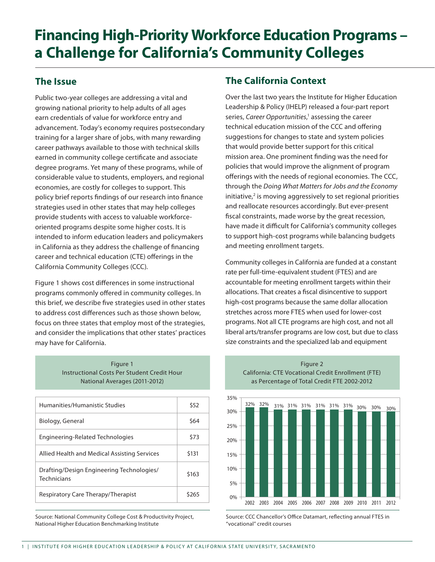# **Financing High-Priority Workforce Education Programs – a Challenge for California's Community Colleges**

### **The Issue**

Public two-year colleges are addressing a vital and growing national priority to help adults of all ages earn credentials of value for workforce entry and advancement. Today's economy requires postsecondary training for a larger share of jobs, with many rewarding career pathways available to those with technical skills earned in community college certificate and associate degree programs. Yet many of these programs, while of considerable value to students, employers, and regional economies, are costly for colleges to support. This policy brief reports findings of our research into finance strategies used in other states that may help colleges provide students with access to valuable workforceoriented programs despite some higher costs. It is intended to inform education leaders and policymakers in California as they address the challenge of financing career and technical education (CTE) offerings in the California Community Colleges (CCC).

Figure 1 shows cost differences in some instructional programs commonly offered in community colleges. In this brief, we describe five strategies used in other states to address cost differences such as those shown below, focus on three states that employ most of the strategies, and consider the implications that other states' practices may have for California.

| Figure 1                                    |
|---------------------------------------------|
| Instructional Costs Per Student Credit Hour |
| National Averages (2011-2012)               |

| Humanities/Humanistic Studies                            | \$52  |
|----------------------------------------------------------|-------|
| Biology, General                                         | \$64  |
| Engineering-Related Technologies                         | \$73  |
| Allied Health and Medical Assisting Services             | \$131 |
| Drafting/Design Engineering Technologies/<br>Technicians | \$163 |
| Respiratory Care Therapy/Therapist                       | \$265 |

Source: National Community College Cost & Productivity Project, National Higher Education Benchmarking Institute

### **The California Context**

Over the last two years the Institute for Higher Education Leadership & Policy (IHELP) released a four-part report series, Career Opportunities,<sup>1</sup> assessing the career technical education mission of the CCC and offering suggestions for changes to state and system policies that would provide better support for this critical mission area. One prominent finding was the need for policies that would improve the alignment of program offerings with the needs of regional economies. The CCC, through the *Doing What Matters for Jobs and the Economy*  initiative,<sup>2</sup> is moving aggressively to set regional priorities and reallocate resources accordingly. But ever-present fiscal constraints, made worse by the great recession, have made it difficult for California's community colleges to support high-cost programs while balancing budgets and meeting enrollment targets.

Community colleges in California are funded at a constant rate per full-time-equivalent student (FTES) and are accountable for meeting enrollment targets within their allocations. That creates a fiscal disincentive to support high-cost programs because the same dollar allocation stretches across more FTES when used for lower-cost programs. Not all CTE programs are high cost, and not all liberal arts/transfer programs are low cost, but due to class size constraints and the specialized lab and equipment

Figure 2 California: CTE Vocational Credit Enrollment (FTE)



Source: CCC Chancellor's Office Datamart, reflecting annual FTES in "vocational" credit courses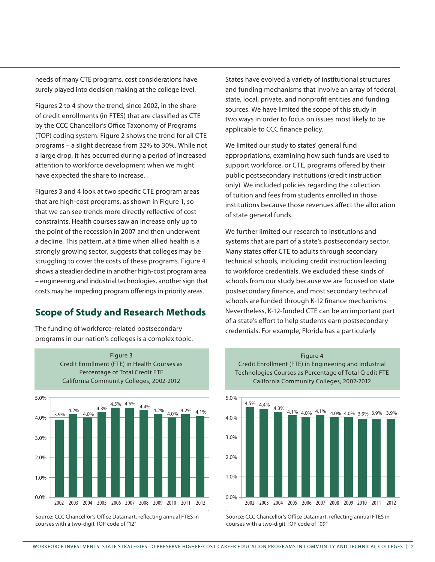needs of many CTE programs, cost considerations have surely played into decision making at the college level.

Figures 2 to 4 show the trend, since 2002, in the share of credit enrollments (in FTES) that are classified as CTE by the CCC Chancellor's Office Taxonomy of Programs (TOP) coding system. Figure 2 shows the trend for all CTE programs – a slight decrease from 32% to 30%. While not a large drop, it has occurred during a period of increased attention to workforce development when we might have expected the share to increase.

Figures 3 and 4 look at two specific CTE program areas that are high-cost programs, as shown in Figure 1, so that we can see trends more directly reflective of cost constraints. Health courses saw an increase only up to the point of the recession in 2007 and then underwent a decline. This pattern, at a time when allied health is a strongly growing sector, suggests that colleges may be struggling to cover the costs of these programs. Figure 4 shows a steadier decline in another high-cost program area – engineering and industrial technologies, another sign that costs may be impeding program offerings in priority areas.

#### **Scope of Study and Research Methods**

The funding of workforce-related postsecondary programs in our nation's colleges is a complex topic.



Source: CCC Chancellor's Office Datamart, reflecting annual FTES in courses with a two-digit TOP code of "12"

States have evolved a variety of institutional structures and funding mechanisms that involve an array of federal, state, local, private, and nonprofit entities and funding sources. We have limited the scope of this study in two ways in order to focus on issues most likely to be applicable to CCC finance policy.

We limited our study to states' general fund appropriations, examining how such funds are used to support workforce, or CTE, programs offered by their public postsecondary institutions (credit instruction only). We included policies regarding the collection of tuition and fees from students enrolled in those institutions because those revenues affect the allocation of state general funds.

We further limited our research to institutions and systems that are part of a state's postsecondary sector. Many states offer CTE to adults through secondary technical schools, including credit instruction leading to workforce credentials. We excluded these kinds of schools from our study because we are focused on state postsecondary finance, and most secondary technical schools are funded through K-12 finance mechanisms. Nevertheless, K-12-funded CTE can be an important part of a state's effort to help students earn postsecondary credentials. For example, Florida has a particularly

Figure 4 Credit Enrollment (FTE) in Engineering and Industrial Technologies Courses as Percentage of Total Credit FTE



Source: CCC Chancellor's Office Datamart, reflecting annual FTES in courses with a two-digit TOP code of "09"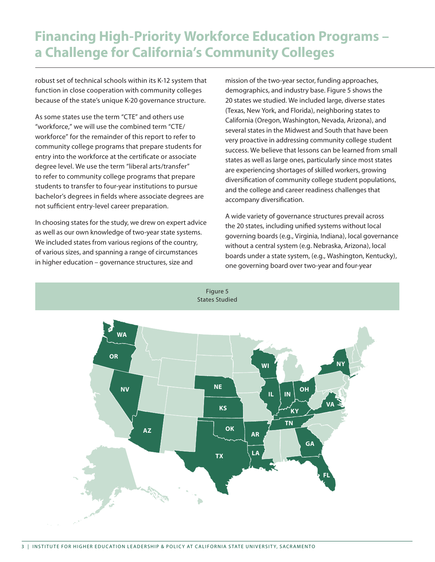## **Financing High-Priority Workforce Education Programs – a Challenge for California's Community Colleges**

robust set of technical schools within its K-12 system that function in close cooperation with community colleges because of the state's unique K-20 governance structure.

As some states use the term "CTE" and others use "workforce," we will use the combined term "CTE/ workforce" for the remainder of this report to refer to community college programs that prepare students for entry into the workforce at the certificate or associate degree level. We use the term "liberal arts/transfer" to refer to community college programs that prepare students to transfer to four-year institutions to pursue bachelor's degrees in fields where associate degrees are not sufficient entry-level career preparation.

In choosing states for the study, we drew on expert advice as well as our own knowledge of two-year state systems. We included states from various regions of the country, of various sizes, and spanning a range of circumstances in higher education – governance structures, size and

mission of the two-year sector, funding approaches, demographics, and industry base. Figure 5 shows the 20 states we studied. We included large, diverse states (Texas, New York, and Florida), neighboring states to California (Oregon, Washington, Nevada, Arizona), and several states in the Midwest and South that have been very proactive in addressing community college student success. We believe that lessons can be learned from small states as well as large ones, particularly since most states are experiencing shortages of skilled workers, growing diversification of community college student populations, and the college and career readiness challenges that accompany diversification.

A wide variety of governance structures prevail across the 20 states, including unified systems without local governing boards (e.g., Virginia, Indiana), local governance without a central system (e.g. Nebraska, Arizona), local boards under a state system, (e.g., Washington, Kentucky), one governing board over two-year and four-year

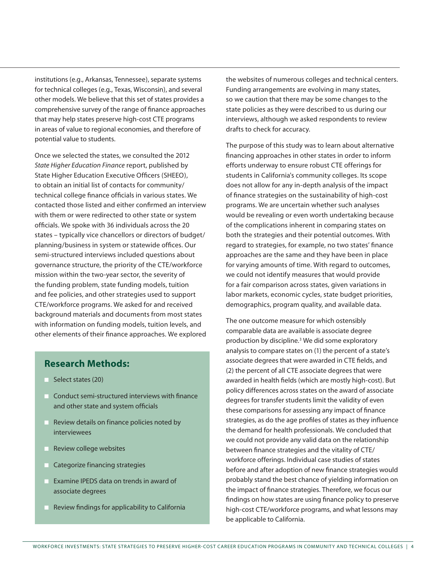institutions (e.g., Arkansas, Tennessee), separate systems for technical colleges (e.g., Texas, Wisconsin), and several other models. We believe that this set of states provides a comprehensive survey of the range of finance approaches that may help states preserve high-cost CTE programs in areas of value to regional economies, and therefore of potential value to students.

Once we selected the states, we consulted the 2012 *State Higher Education Finance* report, published by State Higher Education Executive Officers (SHEEO), to obtain an initial list of contacts for community/ technical college finance officials in various states. We contacted those listed and either confirmed an interview with them or were redirected to other state or system officials. We spoke with 36 individuals across the 20 states – typically vice chancellors or directors of budget/ planning/business in system or statewide offices. Our semi-structured interviews included questions about governance structure, the priority of the CTE/workforce mission within the two-year sector, the severity of the funding problem, state funding models, tuition and fee policies, and other strategies used to support CTE/workforce programs. We asked for and received background materials and documents from most states with information on funding models, tuition levels, and other elements of their finance approaches. We explored

#### **Research Methods:**

- $\blacksquare$  Select states (20)
- $\blacksquare$  Conduct semi-structured interviews with finance and other state and system officials
- $\blacksquare$  Review details on finance policies noted by interviewees
- **n** Review college websites
- $\blacksquare$  Categorize financing strategies
- $\blacksquare$  Examine IPEDS data on trends in award of associate degrees
- $\blacksquare$  Review findings for applicability to California

the websites of numerous colleges and technical centers. Funding arrangements are evolving in many states, so we caution that there may be some changes to the state policies as they were described to us during our interviews, although we asked respondents to review drafts to check for accuracy.

The purpose of this study was to learn about alternative financing approaches in other states in order to inform efforts underway to ensure robust CTE offerings for students in California's community colleges. Its scope does not allow for any in-depth analysis of the impact of finance strategies on the sustainability of high-cost programs. We are uncertain whether such analyses would be revealing or even worth undertaking because of the complications inherent in comparing states on both the strategies and their potential outcomes. With regard to strategies, for example, no two states' finance approaches are the same and they have been in place for varying amounts of time. With regard to outcomes, we could not identify measures that would provide for a fair comparison across states, given variations in labor markets, economic cycles, state budget priorities, demographics, program quality, and available data.

The one outcome measure for which ostensibly comparable data are available is associate degree production by discipline.<sup>3</sup> We did some exploratory analysis to compare states on (1) the percent of a state's associate degrees that were awarded in CTE fields, and (2) the percent of all CTE associate degrees that were awarded in health fields (which are mostly high-cost). But policy differences across states on the award of associate degrees for transfer students limit the validity of even these comparisons for assessing any impact of finance strategies, as do the age profiles of states as they influence the demand for health professionals. We concluded that we could not provide any valid data on the relationship between finance strategies and the vitality of CTE/ workforce offerings. Individual case studies of states before and after adoption of new finance strategies would probably stand the best chance of yielding information on the impact of finance strategies. Therefore, we focus our findings on how states are using finance policy to preserve high-cost CTE/workforce programs, and what lessons may be applicable to California.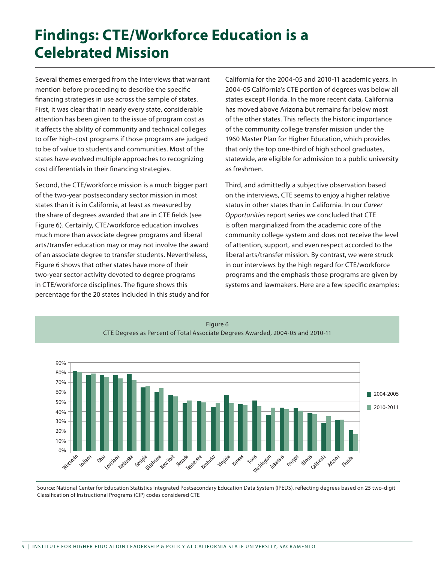# **Findings: CTE/Workforce Education is a Celebrated Mission**

Several themes emerged from the interviews that warrant mention before proceeding to describe the specific financing strategies in use across the sample of states. First, it was clear that in nearly every state, considerable attention has been given to the issue of program cost as it affects the ability of community and technical colleges to offer high-cost programs if those programs are judged to be of value to students and communities. Most of the states have evolved multiple approaches to recognizing cost differentials in their financing strategies.

Second, the CTE/workforce mission is a much bigger part of the two-year postsecondary sector mission in most states than it is in California, at least as measured by the share of degrees awarded that are in CTE fields (see Figure 6). Certainly, CTE/workforce education involves much more than associate degree programs and liberal arts/transfer education may or may not involve the award of an associate degree to transfer students. Nevertheless, Figure 6 shows that other states have more of their two-year sector activity devoted to degree programs in CTE/workforce disciplines. The figure shows this percentage for the 20 states included in this study and for California for the 2004-05 and 2010-11 academic years. In 2004-05 California's CTE portion of degrees was below all states except Florida. In the more recent data, California has moved above Arizona but remains far below most of the other states. This reflects the historic importance of the community college transfer mission under the 1960 Master Plan for Higher Education, which provides that only the top one-third of high school graduates, statewide, are eligible for admission to a public university as freshmen.

Third, and admittedly a subjective observation based on the interviews, CTE seems to enjoy a higher relative status in other states than in California. In our *Career Opportunities* report series we concluded that CTE is often marginalized from the academic core of the community college system and does not receive the level of attention, support, and even respect accorded to the liberal arts/transfer mission. By contrast, we were struck in our interviews by the high regard for CTE/workforce programs and the emphasis those programs are given by systems and lawmakers. Here are a few specific examples:



Figure 6 CTE Degrees as Percent of Total Associate Degrees Awarded, 2004-05 and 2010-11

Source: National Center for Education Statistics Integrated Postsecondary Education Data System (IPEDS), reflecting degrees based on 25 two-digit Classification of Instructional Programs (CIP) codes considered CTE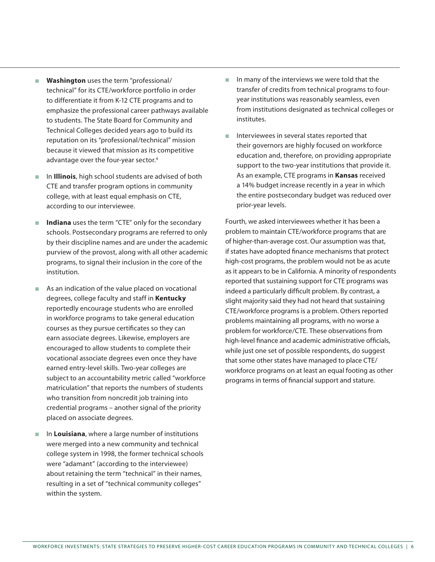- **Washington** uses the term "professional/ technical" for its CTE/workforce portfolio in order to differentiate it from K-12 CTE programs and to emphasize the professional career pathways available to students. The State Board for Community and Technical Colleges decided years ago to build its reputation on its "professional/technical" mission because it viewed that mission as its competitive advantage over the four-year sector.<sup>4</sup>
- <sup>n</sup> In **Illinois**, high school students are advised of both CTE and transfer program options in community college, with at least equal emphasis on CTE, according to our interviewee.
- Indiana uses the term "CTE" only for the secondary schools. Postsecondary programs are referred to only by their discipline names and are under the academic purview of the provost, along with all other academic programs, to signal their inclusion in the core of the institution.
- $\blacksquare$  As an indication of the value placed on vocational degrees, college faculty and staff in **Kentucky** reportedly encourage students who are enrolled in workforce programs to take general education courses as they pursue certificates so they can earn associate degrees. Likewise, employers are encouraged to allow students to complete their vocational associate degrees even once they have earned entry-level skills. Two-year colleges are subject to an accountability metric called "workforce matriculation" that reports the numbers of students who transition from noncredit job training into credential programs – another signal of the priority placed on associate degrees.
- **n** In Louisiana, where a large number of institutions were merged into a new community and technical college system in 1998, the former technical schools were "adamant" (according to the interviewee) about retaining the term "technical" in their names, resulting in a set of "technical community colleges" within the system.
- $\blacksquare$  In many of the interviews we were told that the transfer of credits from technical programs to fouryear institutions was reasonably seamless, even from institutions designated as technical colleges or institutes.
- n Interviewees in several states reported that their governors are highly focused on workforce education and, therefore, on providing appropriate support to the two-year institutions that provide it. As an example, CTE programs in **Kansas** received a 14% budget increase recently in a year in which the entire postsecondary budget was reduced over prior-year levels.

Fourth, we asked interviewees whether it has been a problem to maintain CTE/workforce programs that are of higher-than-average cost. Our assumption was that, if states have adopted finance mechanisms that protect high-cost programs, the problem would not be as acute as it appears to be in California. A minority of respondents reported that sustaining support for CTE programs was indeed a particularly difficult problem. By contrast, a slight majority said they had not heard that sustaining CTE/workforce programs is a problem. Others reported problems maintaining all programs, with no worse a problem for workforce/CTE. These observations from high-level finance and academic administrative officials, while just one set of possible respondents, do suggest that some other states have managed to place CTE/ workforce programs on at least an equal footing as other programs in terms of financial support and stature.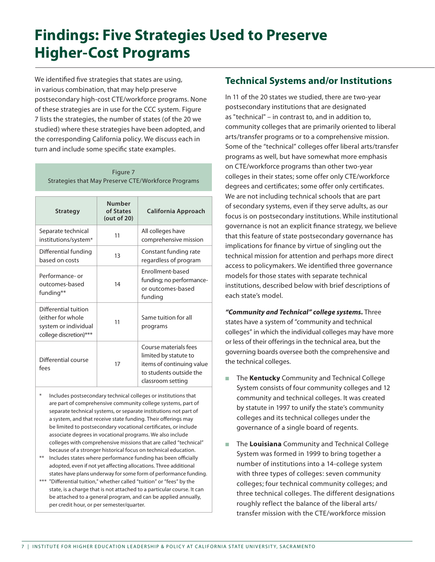# **Findings: Five Strategies Used to Preserve Higher-Cost Programs**

We identified five strategies that states are using, in various combination, that may help preserve postsecondary high-cost CTE/workforce programs. None of these strategies are in use for the CCC system. Figure 7 lists the strategies, the number of states (of the 20 we studied) where these strategies have been adopted, and the corresponding California policy. We discuss each in turn and include some specific state examples.

Figure 7 Strategies that May Preserve CTE/Workforce Programs

| <b>Strategy</b>                                                                             | <b>Number</b><br>of States<br>(out of 20) | <b>California Approach</b>                                                                                                  |
|---------------------------------------------------------------------------------------------|-------------------------------------------|-----------------------------------------------------------------------------------------------------------------------------|
| Separate technical<br>institutions/system*                                                  | 11                                        | All colleges have<br>comprehensive mission                                                                                  |
| Differential funding<br>based on costs                                                      | 13                                        | Constant funding rate<br>regardless of program                                                                              |
| Performance- or<br>outcomes-based<br>funding**                                              | 14                                        | Enrollment-based<br>funding; no performance-<br>or outcomes-based<br>funding                                                |
| Differential tuition<br>(either for whole<br>system or individual<br>college discretion)*** | 11                                        | Same tuition for all<br>programs                                                                                            |
| Differential course<br>fees                                                                 | 17                                        | Course materials fees<br>limited by statute to<br>items of continuing value<br>to students outside the<br>classroom setting |

- Includes postsecondary technical colleges or institutions that are part of comprehensive community college systems, part of separate technical systems, or separate institutions not part of a system, and that receive state funding. Their offerings may be limited to postsecondary vocational certificates, or include associate degrees in vocational programs. We also include colleges with comprehensive missions that are called "technical" because of a stronger historical focus on technical education.
- \*\* Includes states where performance funding has been officially adopted, even if not yet affecting allocations. Three additional states have plans underway for some form of performance funding.
- \*\*\* "Differential tuition," whether called "tuition" or "fees" by the state, is a charge that is not attached to a particular course. It can be attached to a general program, and can be applied annually, per credit hour, or per semester/quarter.

#### **Technical Systems and/or Institutions**

In 11 of the 20 states we studied, there are two-year postsecondary institutions that are designated as "technical" – in contrast to, and in addition to, community colleges that are primarily oriented to liberal arts/transfer programs or to a comprehensive mission. Some of the "technical" colleges offer liberal arts/transfer programs as well, but have somewhat more emphasis on CTE/workforce programs than other two-year colleges in their states; some offer only CTE/workforce degrees and certificates; some offer only certificates. We are not including technical schools that are part of secondary systems, even if they serve adults, as our focus is on postsecondary institutions. While institutional governance is not an explicit finance strategy, we believe that this feature of state postsecondary governance has implications for finance by virtue of singling out the technical mission for attention and perhaps more direct access to policymakers. We identified three governance models for those states with separate technical institutions, described below with brief descriptions of each state's model.

*"Community and Technical" college systems.* Three states have a system of "community and technical colleges" in which the individual colleges may have more or less of their offerings in the technical area, but the governing boards oversee both the comprehensive and the technical colleges.

- The **Kentucky** Community and Technical College System consists of four community colleges and 12 community and technical colleges. It was created by statute in 1997 to unify the state's community colleges and its technical colleges under the governance of a single board of regents.
- The Louisiana Community and Technical College System was formed in 1999 to bring together a number of institutions into a 14-college system with three types of colleges: seven community colleges; four technical community colleges; and three technical colleges. The different designations roughly reflect the balance of the liberal arts/ transfer mission with the CTE/workforce mission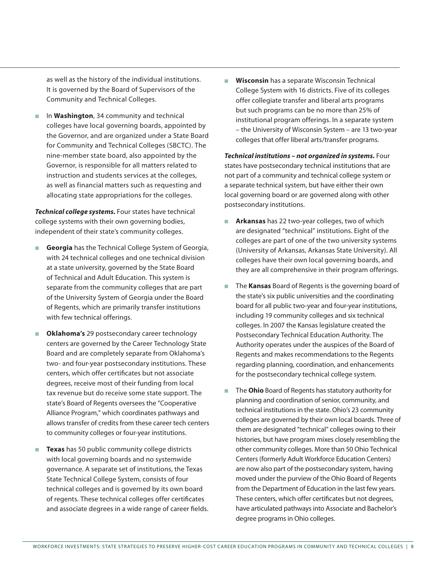as well as the history of the individual institutions. It is governed by the Board of Supervisors of the Community and Technical Colleges.

■ In **Washington**, 34 community and technical colleges have local governing boards, appointed by the Governor, and are organized under a State Board for Community and Technical Colleges (SBCTC). The nine-member state board, also appointed by the Governor, is responsible for all matters related to instruction and students services at the colleges, as well as financial matters such as requesting and allocating state appropriations for the colleges.

*Technical college systems.* Four states have technical college systems with their own governing bodies, independent of their state's community colleges.

- **Georgia** has the Technical College System of Georgia, with 24 technical colleges and one technical division at a state university, governed by the State Board of Technical and Adult Education. This system is separate from the community colleges that are part of the University System of Georgia under the Board of Regents, which are primarily transfer institutions with few technical offerings.
- **n** Oklahoma's 29 postsecondary career technology centers are governed by the Career Technology State Board and are completely separate from Oklahoma's two- and four-year postsecondary institutions. These centers, which offer certificates but not associate degrees, receive most of their funding from local tax revenue but do receive some state support. The state's Board of Regents oversees the "Cooperative Alliance Program," which coordinates pathways and allows transfer of credits from these career tech centers to community colleges or four-year institutions.
- **Texas** has 50 public community college districts with local governing boards and no systemwide governance. A separate set of institutions, the Texas State Technical College System, consists of four technical colleges and is governed by its own board of regents. These technical colleges offer certificates and associate degrees in a wide range of career fields.

**Wisconsin** has a separate Wisconsin Technical College System with 16 districts. Five of its colleges offer collegiate transfer and liberal arts programs but such programs can be no more than 25% of institutional program offerings. In a separate system – the University of Wisconsin System – are 13 two-year colleges that offer liberal arts/transfer programs.

*Technical institutions – not organized in systems.* Four states have postsecondary technical institutions that are not part of a community and technical college system or a separate technical system, but have either their own local governing board or are governed along with other postsecondary institutions.

- **Arkansas** has 22 two-year colleges, two of which are designated "technical" institutions. Eight of the colleges are part of one of the two university systems (University of Arkansas, Arkansas State University). All colleges have their own local governing boards, and they are all comprehensive in their program offerings.
- **n** The **Kansas** Board of Regents is the governing board of the state's six public universities and the coordinating board for all public two-year and four-year institutions, including 19 community colleges and six technical colleges. In 2007 the Kansas legislature created the Postsecondary Technical Education Authority. The Authority operates under the auspices of the Board of Regents and makes recommendations to the Regents regarding planning, coordination, and enhancements for the postsecondary technical college system.
- **n** The **Ohio** Board of Regents has statutory authority for planning and coordination of senior, community, and technical institutions in the state. Ohio's 23 community colleges are governed by their own local boards. Three of them are designated "technical" colleges owing to their histories, but have program mixes closely resembling the other community colleges. More than 50 Ohio Technical Centers (formerly Adult Workforce Education Centers) are now also part of the postsecondary system, having moved under the purview of the Ohio Board of Regents from the Department of Education in the last few years. These centers, which offer certificates but not degrees, have articulated pathways into Associate and Bachelor's degree programs in Ohio colleges.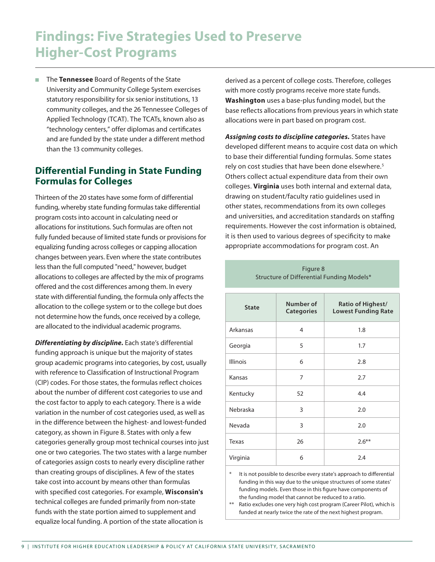## **Findings: Five Strategies Used to Preserve Higher-Cost Programs**

■ The **Tennessee** Board of Regents of the State University and Community College System exercises statutory responsibility for six senior institutions, 13 community colleges, and the 26 Tennessee Colleges of Applied Technology (TCAT). The TCATs, known also as "technology centers," offer diplomas and certificates and are funded by the state under a different method than the 13 community colleges.

#### **Differential Funding in State Funding Formulas for Colleges**

Thirteen of the 20 states have some form of differential funding, whereby state funding formulas take differential program costs into account in calculating need or allocations for institutions. Such formulas are often not fully funded because of limited state funds or provisions for equalizing funding across colleges or capping allocation changes between years. Even where the state contributes less than the full computed "need," however, budget allocations to colleges are affected by the mix of programs offered and the cost differences among them. In every state with differential funding, the formula only affects the allocation to the college system or to the college but does not determine how the funds, once received by a college, are allocated to the individual academic programs.

*Differentiating by discipline.* Each state's differential funding approach is unique but the majority of states group academic programs into categories, by cost, usually with reference to Classification of Instructional Program (CIP) codes. For those states, the formulas reflect choices about the number of different cost categories to use and the cost factor to apply to each category. There is a wide variation in the number of cost categories used, as well as in the difference between the highest- and lowest-funded category, as shown in Figure 8. States with only a few categories generally group most technical courses into just one or two categories. The two states with a large number of categories assign costs to nearly every discipline rather than creating groups of disciplines. A few of the states take cost into account by means other than formulas with specified cost categories. For example, **Wisconsin's** technical colleges are funded primarily from non-state funds with the state portion aimed to supplement and equalize local funding. A portion of the state allocation is

derived as a percent of college costs. Therefore, colleges with more costly programs receive more state funds. **Washington** uses a base-plus funding model, but the base reflects allocations from previous years in which state allocations were in part based on program cost.

*Assigning costs to discipline categories.* States have developed different means to acquire cost data on which to base their differential funding formulas. Some states rely on cost studies that have been done elsewhere.<sup>5</sup> Others collect actual expenditure data from their own colleges. **Virginia** uses both internal and external data, drawing on student/faculty ratio guidelines used in other states, recommendations from its own colleges and universities, and accreditation standards on staffing requirements. However the cost information is obtained, it is then used to various degrees of specificity to make appropriate accommodations for program cost. An

> Figure 8 Structure of Differential Funding Models\*

| <b>State</b>    | Number of<br><b>Categories</b> | Ratio of Highest/<br><b>Lowest Funding Rate</b> |
|-----------------|--------------------------------|-------------------------------------------------|
| Arkansas        | 4                              | 1.8                                             |
| Georgia         | 5                              | 1.7                                             |
| <b>Illinois</b> | 6                              | 2.8                                             |
| Kansas          | 7                              | 2.7                                             |
| Kentucky        | 52                             | 4.4                                             |
| Nebraska        | 3                              | 2.0                                             |
| Nevada          | 3                              | 2.0                                             |
| <b>Texas</b>    | 26                             | $2.6***$                                        |
| Virginia        | 6                              | 2.4                                             |

\* It is not possible to describe every state's approach to differential funding in this way due to the unique structures of some states' funding models. Even those in this figure have components of the funding model that cannot be reduced to a ratio.

\*\* Ratio excludes one very high cost program (Career Pilot), which is funded at nearly twice the rate of the next highest program.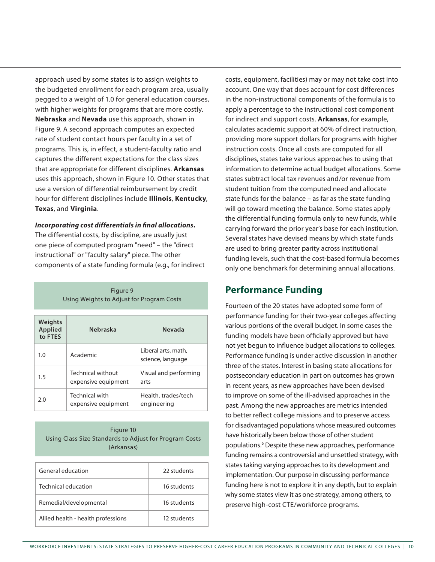approach used by some states is to assign weights to the budgeted enrollment for each program area, usually pegged to a weight of 1.0 for general education courses, with higher weights for programs that are more costly. **Nebraska** and **Nevada** use this approach, shown in Figure 9. A second approach computes an expected rate of student contact hours per faculty in a set of programs. This is, in effect, a student-faculty ratio and captures the different expectations for the class sizes that are appropriate for different disciplines. **Arkansas** uses this approach, shown in Figure 10. Other states that use a version of differential reimbursement by credit hour for different disciplines include **Illinois**, **Kentucky**, **Texas**, and **Virginia**.

#### *Incorporating cost differentials in final allocations.*

The differential costs, by discipline, are usually just one piece of computed program "need" – the "direct instructional" or "faculty salary" piece. The other components of a state funding formula (e.g., for indirect

> Figure 9 Using Weights to Adjust for Program Costs

| Weights<br>Applied<br>to FTES | <b>Nebraska</b>                          | Nevada                                   |
|-------------------------------|------------------------------------------|------------------------------------------|
| 1.0                           | Academic                                 | Liberal arts, math,<br>science, language |
| 1.5                           | Technical without<br>expensive equipment | Visual and performing<br>arts            |
| 2.0                           | Technical with<br>expensive equipment    | Health, trades/tech<br>engineering       |

#### Figure 10 Using Class Size Standards to Adjust for Program Costs (Arkansas)

| General education                  | 22 students |
|------------------------------------|-------------|
| Technical education                | 16 students |
| Remedial/developmental             | 16 students |
| Allied health - health professions | 12 students |

costs, equipment, facilities) may or may not take cost into account. One way that does account for cost differences in the non-instructional components of the formula is to apply a percentage to the instructional cost component for indirect and support costs. **Arkansas**, for example, calculates academic support at 60% of direct instruction, providing more support dollars for programs with higher instruction costs. Once all costs are computed for all disciplines, states take various approaches to using that information to determine actual budget allocations. Some states subtract local tax revenues and/or revenue from student tuition from the computed need and allocate state funds for the balance – as far as the state funding will go toward meeting the balance. Some states apply the differential funding formula only to new funds, while carrying forward the prior year's base for each institution. Several states have devised means by which state funds are used to bring greater parity across institutional funding levels, such that the cost-based formula becomes only one benchmark for determining annual allocations.

#### **Performance Funding**

Fourteen of the 20 states have adopted some form of performance funding for their two-year colleges affecting various portions of the overall budget. In some cases the funding models have been officially approved but have not yet begun to influence budget allocations to colleges. Performance funding is under active discussion in another three of the states. Interest in basing state allocations for postsecondary education in part on outcomes has grown in recent years, as new approaches have been devised to improve on some of the ill-advised approaches in the past. Among the new approaches are metrics intended to better reflect college missions and to preserve access for disadvantaged populations whose measured outcomes have historically been below those of other student populations.6 Despite these new approaches, performance funding remains a controversial and unsettled strategy, with states taking varying approaches to its development and implementation. Our purpose in discussing performance funding here is not to explore it in any depth, but to explain why some states view it as one strategy, among others, to preserve high-cost CTE/workforce programs.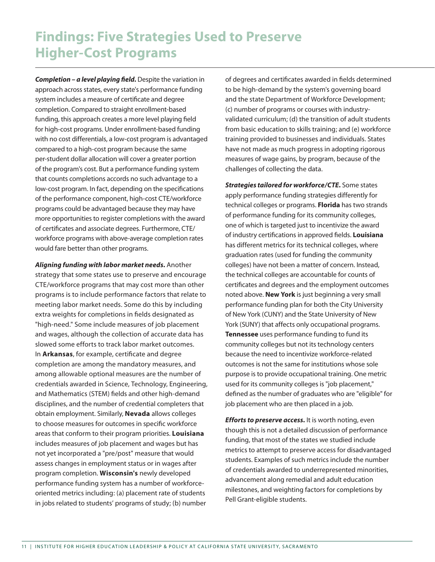## **Findings: Five Strategies Used to Preserve Higher-Cost Programs**

*Completion – a level playing field.* Despite the variation in approach across states, every state's performance funding system includes a measure of certificate and degree completion. Compared to straight enrollment-based funding, this approach creates a more level playing field for high-cost programs. Under enrollment-based funding with no cost differentials, a low-cost program is advantaged compared to a high-cost program because the same per-student dollar allocation will cover a greater portion of the program's cost. But a performance funding system that counts completions accords no such advantage to a low-cost program. In fact, depending on the specifications of the performance component, high-cost CTE/workforce programs could be advantaged because they may have more opportunities to register completions with the award of certificates and associate degrees. Furthermore, CTE/ workforce programs with above-average completion rates would fare better than other programs.

*Aligning funding with labor market needs.* Another strategy that some states use to preserve and encourage CTE/workforce programs that may cost more than other programs is to include performance factors that relate to meeting labor market needs. Some do this by including extra weights for completions in fields designated as "high-need." Some include measures of job placement and wages, although the collection of accurate data has slowed some efforts to track labor market outcomes. In **Arkansas**, for example, certificate and degree completion are among the mandatory measures, and among allowable optional measures are the number of credentials awarded in Science, Technology, Engineering, and Mathematics (STEM) fields and other high-demand disciplines, and the number of credential completers that obtain employment. Similarly, **Nevada** allows colleges to choose measures for outcomes in specific workforce areas that conform to their program priorities. **Louisiana** includes measures of job placement and wages but has not yet incorporated a "pre/post" measure that would assess changes in employment status or in wages after program completion. **Wisconsin's** newly developed performance funding system has a number of workforceoriented metrics including: (a) placement rate of students in jobs related to students' programs of study; (b) number

of degrees and certificates awarded in fields determined to be high-demand by the system's governing board and the state Department of Workforce Development; (c) number of programs or courses with industryvalidated curriculum; (d) the transition of adult students from basic education to skills training; and (e) workforce training provided to businesses and individuals. States have not made as much progress in adopting rigorous measures of wage gains, by program, because of the challenges of collecting the data.

*Strategies tailored for workforce/CTE.* Some states apply performance funding strategies differently for technical colleges or programs. **Florida** has two strands of performance funding for its community colleges, one of which is targeted just to incentivize the award of industry certifications in approved fields. **Louisiana** has different metrics for its technical colleges, where graduation rates (used for funding the community colleges) have not been a matter of concern. Instead, the technical colleges are accountable for counts of certificates and degrees and the employment outcomes noted above. **New York** is just beginning a very small performance funding plan for both the City University of New York (CUNY) and the State University of New York (SUNY) that affects only occupational programs. **Tennessee** uses performance funding to fund its community colleges but not its technology centers because the need to incentivize workforce-related outcomes is not the same for institutions whose sole purpose is to provide occupational training. One metric used for its community colleges is "job placement," defined as the number of graduates who are "eligible" for job placement who are then placed in a job.

*Efforts to preserve access.* It is worth noting, even though this is not a detailed discussion of performance funding, that most of the states we studied include metrics to attempt to preserve access for disadvantaged students. Examples of such metrics include the number of credentials awarded to underrepresented minorities, advancement along remedial and adult education milestones, and weighting factors for completions by Pell Grant-eligible students.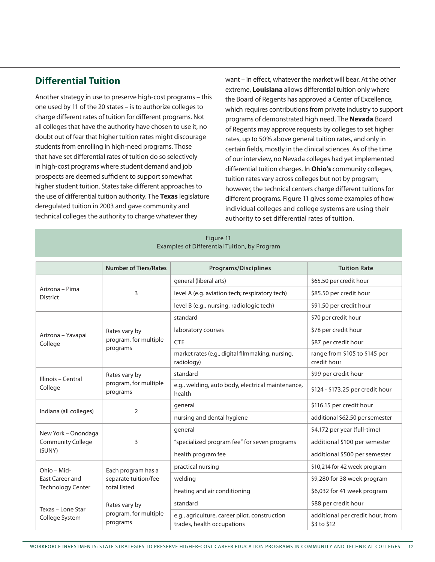#### **Differential Tuition**

Another strategy in use to preserve high-cost programs – this one used by 11 of the 20 states – is to authorize colleges to charge different rates of tuition for different programs. Not all colleges that have the authority have chosen to use it, no doubt out of fear that higher tuition rates might discourage students from enrolling in high-need programs. Those that have set differential rates of tuition do so selectively in high-cost programs where student demand and job prospects are deemed sufficient to support somewhat higher student tuition. States take different approaches to the use of differential tuition authority. The **Texas** legislature deregulated tuition in 2003 and gave community and technical colleges the authority to charge whatever they

want – in effect, whatever the market will bear. At the other extreme, **Louisiana** allows differential tuition only where the Board of Regents has approved a Center of Excellence, which requires contributions from private industry to support programs of demonstrated high need. The **Nevada** Board of Regents may approve requests by colleges to set higher rates, up to 50% above general tuition rates, and only in certain fields, mostly in the clinical sciences. As of the time of our interview, no Nevada colleges had yet implemented differential tuition charges. In **Ohio's** community colleges, tuition rates vary across colleges but not by program; however, the technical centers charge different tuitions for different programs. Figure 11 gives some examples of how individual colleges and college systems are using their authority to set differential rates of tuition.

|                                   | <b>Number of Tiers/Rates</b>                               | <b>Programs/Disciplines</b>                                                 | <b>Tuition Rate</b>                             |  |
|-----------------------------------|------------------------------------------------------------|-----------------------------------------------------------------------------|-------------------------------------------------|--|
| Arizona - Pima<br><b>District</b> |                                                            | general (liberal arts)                                                      | \$65.50 per credit hour                         |  |
|                                   | 3                                                          | level A (e.g. aviation tech; respiratory tech)                              | \$85.50 per credit hour                         |  |
|                                   |                                                            | level B (e.g., nursing, radiologic tech)                                    | \$91.50 per credit hour                         |  |
|                                   | Rates vary by<br>program, for multiple<br>programs         | standard                                                                    | \$70 per credit hour                            |  |
|                                   |                                                            | laboratory courses                                                          | \$78 per credit hour                            |  |
| Arizona - Yavapai<br>College      |                                                            | <b>CTE</b>                                                                  | \$87 per credit hour                            |  |
|                                   |                                                            | market rates (e.g., digital filmmaking, nursing,<br>radiology)              | range from \$105 to \$145 per<br>credit hour    |  |
|                                   | Rates vary by<br>program, for multiple<br>programs         | standard                                                                    | \$99 per credit hour                            |  |
| Illinois - Central<br>College     |                                                            | e.g., welding, auto body, electrical maintenance,<br>health                 | \$124 - \$173.25 per credit hour                |  |
|                                   | $\overline{2}$                                             | general                                                                     | \$116.15 per credit hour                        |  |
| Indiana (all colleges)            |                                                            | nursing and dental hygiene                                                  | additional \$62.50 per semester                 |  |
| New York - Onondaga               | 3                                                          | general                                                                     | \$4,172 per year (full-time)                    |  |
| <b>Community College</b>          |                                                            | "specialized program fee" for seven programs                                | additional \$100 per semester                   |  |
| (SUNY)                            |                                                            | health program fee                                                          | additional \$500 per semester                   |  |
| Ohio - Mid-                       | Each program has a<br>separate tuition/fee<br>total listed | practical nursing                                                           | \$10,214 for 42 week program                    |  |
| <b>East Career and</b>            |                                                            | welding                                                                     | \$9,280 for 38 week program                     |  |
| <b>Technology Center</b>          |                                                            | heating and air conditioning                                                | \$6,032 for 41 week program                     |  |
| Texas - Lone Star                 | Rates vary by<br>program, for multiple<br>programs         | standard                                                                    | \$88 per credit hour                            |  |
| College System                    |                                                            | e.g., agriculture, career pilot, construction<br>trades, health occupations | additional per credit hour, from<br>\$3 to \$12 |  |

Figure 11 Examples of Differential Tuition, by Program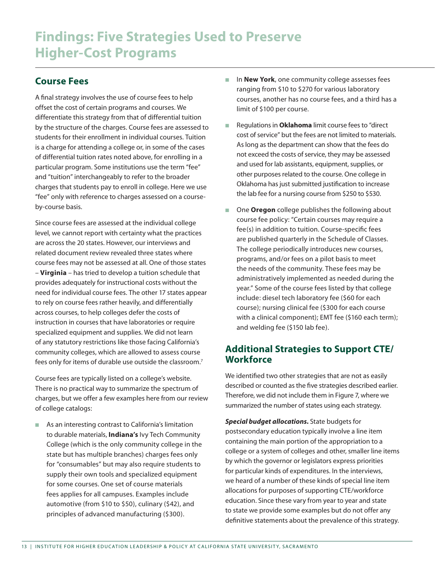#### **Course Fees**

A final strategy involves the use of course fees to help offset the cost of certain programs and courses. We differentiate this strategy from that of differential tuition by the structure of the charges. Course fees are assessed to students for their enrollment in individual courses. Tuition is a charge for attending a college or, in some of the cases of differential tuition rates noted above, for enrolling in a particular program. Some institutions use the term "fee" and "tuition" interchangeably to refer to the broader charges that students pay to enroll in college. Here we use "fee" only with reference to charges assessed on a courseby-course basis.

Since course fees are assessed at the individual college level, we cannot report with certainty what the practices are across the 20 states. However, our interviews and related document review revealed three states where course fees may not be assessed at all. One of those states – **Virginia** – has tried to develop a tuition schedule that provides adequately for instructional costs without the need for individual course fees. The other 17 states appear to rely on course fees rather heavily, and differentially across courses, to help colleges defer the costs of instruction in courses that have laboratories or require specialized equipment and supplies. We did not learn of any statutory restrictions like those facing California's community colleges, which are allowed to assess course fees only for items of durable use outside the classroom.7

Course fees are typically listed on a college's website. There is no practical way to summarize the spectrum of charges, but we offer a few examples here from our review of college catalogs:

■ As an interesting contrast to California's limitation to durable materials, **Indiana's** Ivy Tech Community College (which is the only community college in the state but has multiple branches) charges fees only for "consumables" but may also require students to supply their own tools and specialized equipment for some courses. One set of course materials fees applies for all campuses. Examples include automotive (from \$10 to \$50), culinary (\$42), and principles of advanced manufacturing (\$300).

- **n** In **New York**, one community college assesses fees ranging from \$10 to \$270 for various laboratory courses, another has no course fees, and a third has a limit of \$100 per course.
- <sup>n</sup> Regulations in **Oklahoma** limit course fees to "direct cost of service" but the fees are not limited to materials. As long as the department can show that the fees do not exceed the costs of service, they may be assessed and used for lab assistants, equipment, supplies, or other purposes related to the course. One college in Oklahoma has just submitted justification to increase the lab fee for a nursing course from \$250 to \$530.
- One **Oregon** college publishes the following about course fee policy: "Certain courses may require a fee(s) in addition to tuition. Course-specific fees are published quarterly in the Schedule of Classes. The college periodically introduces new courses, programs, and/or fees on a pilot basis to meet the needs of the community. These fees may be administratively implemented as needed during the year." Some of the course fees listed by that college include: diesel tech laboratory fee (\$60 for each course); nursing clinical fee (\$300 for each course with a clinical component); EMT fee (\$160 each term); and welding fee (\$150 lab fee).

#### **Additional Strategies to Support CTE/ Workforce**

We identified two other strategies that are not as easily described or counted as the five strategies described earlier. Therefore, we did not include them in Figure 7, where we summarized the number of states using each strategy.

*Special budget allocations.* State budgets for postsecondary education typically involve a line item containing the main portion of the appropriation to a college or a system of colleges and other, smaller line items by which the governor or legislators express priorities for particular kinds of expenditures. In the interviews, we heard of a number of these kinds of special line item allocations for purposes of supporting CTE/workforce education. Since these vary from year to year and state to state we provide some examples but do not offer any definitive statements about the prevalence of this strategy.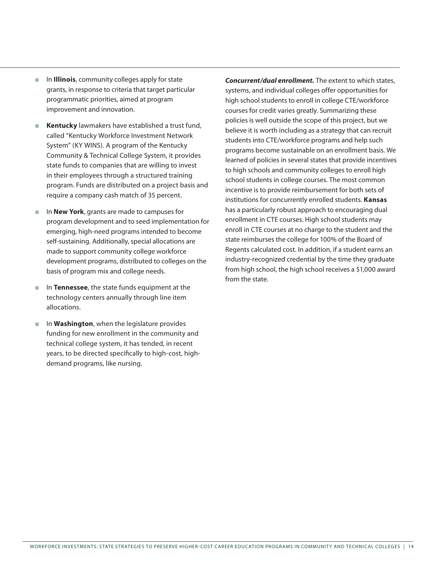- **n Illinois**, community colleges apply for state grants, in response to criteria that target particular programmatic priorities, aimed at program improvement and innovation.
- **Kentucky** lawmakers have established a trust fund, called "Kentucky Workforce Investment Network System" (KY WINS). A program of the Kentucky Community & Technical College System, it provides state funds to companies that are willing to invest in their employees through a structured training program. Funds are distributed on a project basis and require a company cash match of 35 percent.
- **n In New York**, grants are made to campuses for program development and to seed implementation for emerging, high-need programs intended to become self-sustaining. Additionally, special allocations are made to support community college workforce development programs, distributed to colleges on the basis of program mix and college needs.
- **n** In **Tennessee**, the state funds equipment at the technology centers annually through line item allocations.
- **n In Washington**, when the legislature provides funding for new enrollment in the community and technical college system, it has tended, in recent years, to be directed specifically to high-cost, highdemand programs, like nursing.

*Concurrent/dual enrollment.* The extent to which states, systems, and individual colleges offer opportunities for high school students to enroll in college CTE/workforce courses for credit varies greatly. Summarizing these policies is well outside the scope of this project, but we believe it is worth including as a strategy that can recruit students into CTE/workforce programs and help such programs become sustainable on an enrollment basis. We learned of policies in several states that provide incentives to high schools and community colleges to enroll high school students in college courses. The most common incentive is to provide reimbursement for both sets of institutions for concurrently enrolled students. **Kansas** has a particularly robust approach to encouraging dual enrollment in CTE courses. High school students may enroll in CTE courses at no charge to the student and the state reimburses the college for 100% of the Board of Regents calculated cost. In addition, if a student earns an industry-recognized credential by the time they graduate from high school, the high school receives a \$1,000 award from the state.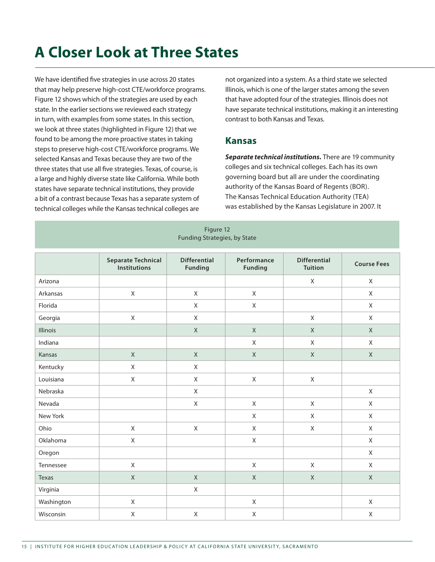# **A Closer Look at Three States**

We have identified five strategies in use across 20 states that may help preserve high-cost CTE/workforce programs. Figure 12 shows which of the strategies are used by each state. In the earlier sections we reviewed each strategy in turn, with examples from some states. In this section, we look at three states (highlighted in Figure 12) that we found to be among the more proactive states in taking steps to preserve high-cost CTE/workforce programs. We selected Kansas and Texas because they are two of the three states that use all five strategies. Texas, of course, is a large and highly diverse state like California. While both states have separate technical institutions, they provide a bit of a contrast because Texas has a separate system of technical colleges while the Kansas technical colleges are

not organized into a system. As a third state we selected Illinois, which is one of the larger states among the seven that have adopted four of the strategies. Illinois does not have separate technical institutions, making it an interesting contrast to both Kansas and Texas.

#### **Kansas**

*Separate technical institutions.* There are 19 community colleges and six technical colleges. Each has its own governing board but all are under the coordinating authority of the Kansas Board of Regents (BOR). The Kansas Technical Education Authority (TEA) was established by the Kansas Legislature in 2007. It

| Figure 12<br>Funding Strategies, by State |                                                  |                                       |                               |                                       |                    |
|-------------------------------------------|--------------------------------------------------|---------------------------------------|-------------------------------|---------------------------------------|--------------------|
|                                           | <b>Separate Technical</b><br><b>Institutions</b> | <b>Differential</b><br><b>Funding</b> | Performance<br><b>Funding</b> | <b>Differential</b><br><b>Tuition</b> | <b>Course Fees</b> |
| Arizona                                   |                                                  |                                       |                               | $\mathsf X$                           | $\mathsf{X}$       |
| Arkansas                                  | $\mathsf X$                                      | $\mathsf{X}$                          | $\mathsf{X}$                  |                                       | $\mathsf{X}$       |
| Florida                                   |                                                  | $\mathsf{X}$                          | $\mathsf X$                   |                                       | $\mathsf{X}$       |
| Georgia                                   | $\mathsf X$                                      | $\mathsf{X}$                          |                               | $\mathsf{X}$                          | X                  |
| Illinois                                  |                                                  | $\mathsf X$                           | $\mathsf X$                   | $\mathsf X$                           | $\mathsf X$        |
| Indiana                                   |                                                  |                                       | $\mathsf X$                   | $\mathsf X$                           | $\mathsf{X}$       |
| Kansas                                    | $\mathsf X$                                      | $\mathsf X$                           | $\mathsf X$                   | $\mathsf X$                           | $\mathsf{X}$       |
| Kentucky                                  | $\mathsf X$                                      | $\mathsf{X}$                          |                               |                                       |                    |
| Louisiana                                 | $\mathsf X$                                      | X                                     | $\mathsf X$                   | $\mathsf X$                           |                    |
| Nebraska                                  |                                                  | $\mathsf{X}$                          |                               |                                       | $\mathsf{X}$       |
| Nevada                                    |                                                  | $\mathsf X$                           | $\mathsf{X}$                  | $\mathsf X$                           | $\mathsf X$        |
| New York                                  |                                                  |                                       | X                             | $\mathsf{X}$                          | X                  |
| Ohio                                      | $\mathsf X$                                      | Χ                                     | $\mathsf{X}$                  | $\mathsf X$                           | $\mathsf{X}$       |
| Oklahoma                                  | $\mathsf X$                                      |                                       | $\mathsf{X}$                  |                                       | X                  |
| Oregon                                    |                                                  |                                       |                               |                                       | $\mathsf{X}$       |
| Tennessee                                 | $\mathsf{X}$                                     |                                       | $\mathsf{X}$                  | $\mathsf{X}$                          | $\mathsf{X}$       |
| Texas                                     | $\mathsf X$                                      | $\mathsf X$                           | $\mathsf X$                   | $\mathsf X$                           | $\mathsf X$        |
| Virginia                                  |                                                  | $\mathsf X$                           |                               |                                       |                    |
| Washington                                | $\mathsf X$                                      |                                       | $\mathsf X$                   |                                       | $\mathsf X$        |
| Wisconsin                                 | $\mathsf X$                                      | $\mathsf X$                           | $\mathsf X$                   |                                       | $\mathsf X$        |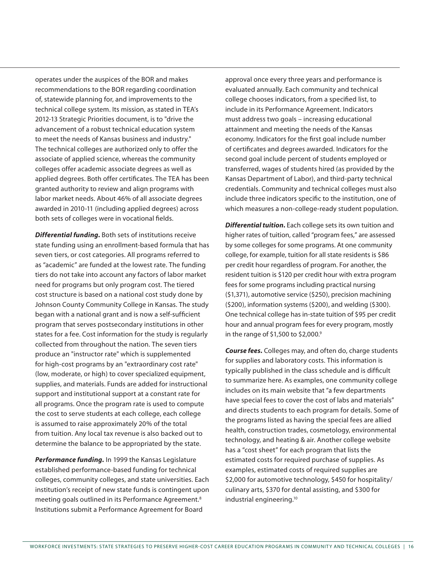operates under the auspices of the BOR and makes recommendations to the BOR regarding coordination of, statewide planning for, and improvements to the technical college system. Its mission, as stated in TEA's 2012-13 Strategic Priorities document, is to "drive the advancement of a robust technical education system to meet the needs of Kansas business and industry." The technical colleges are authorized only to offer the associate of applied science, whereas the community colleges offer academic associate degrees as well as applied degrees. Both offer certificates. The TEA has been granted authority to review and align programs with labor market needs. About 46% of all associate degrees awarded in 2010-11 (including applied degrees) across both sets of colleges were in vocational fields.

*Differential funding.* Both sets of institutions receive state funding using an enrollment-based formula that has seven tiers, or cost categories. All programs referred to as "academic" are funded at the lowest rate. The funding tiers do not take into account any factors of labor market need for programs but only program cost. The tiered cost structure is based on a national cost study done by Johnson County Community College in Kansas. The study began with a national grant and is now a self-sufficient program that serves postsecondary institutions in other states for a fee. Cost information for the study is regularly collected from throughout the nation. The seven tiers produce an "instructor rate" which is supplemented for high-cost programs by an "extraordinary cost rate" (low, moderate, or high) to cover specialized equipment, supplies, and materials. Funds are added for instructional support and institutional support at a constant rate for all programs. Once the program rate is used to compute the cost to serve students at each college, each college is assumed to raise approximately 20% of the total from tuition. Any local tax revenue is also backed out to determine the balance to be appropriated by the state.

*Performance funding.* In 1999 the Kansas Legislature established performance-based funding for technical colleges, community colleges, and state universities. Each institution's receipt of new state funds is contingent upon meeting goals outlined in its Performance Agreement.8 Institutions submit a Performance Agreement for Board

approval once every three years and performance is evaluated annually. Each community and technical college chooses indicators, from a specified list, to include in its Performance Agreement. Indicators must address two goals – increasing educational attainment and meeting the needs of the Kansas economy. Indicators for the first goal include number of certificates and degrees awarded. Indicators for the second goal include percent of students employed or transferred, wages of students hired (as provided by the Kansas Department of Labor), and third-party technical credentials. Community and technical colleges must also include three indicators specific to the institution, one of which measures a non-college-ready student population.

*Differential tuition.* Each college sets its own tuition and higher rates of tuition, called "program fees," are assessed by some colleges for some programs. At one community college, for example, tuition for all state residents is \$86 per credit hour regardless of program. For another, the resident tuition is \$120 per credit hour with extra program fees for some programs including practical nursing (\$1,371), automotive service (\$250), precision machining (\$200), information systems (\$200), and welding (\$300). One technical college has in-state tuition of \$95 per credit hour and annual program fees for every program, mostly in the range of \$1,500 to \$2,000.9

*Course fees.* Colleges may, and often do, charge students for supplies and laboratory costs. This information is typically published in the class schedule and is difficult to summarize here. As examples, one community college includes on its main website that "a few departments have special fees to cover the cost of labs and materials" and directs students to each program for details. Some of the programs listed as having the special fees are allied health, construction trades, cosmetology, environmental technology, and heating & air. Another college website has a "cost sheet" for each program that lists the estimated costs for required purchase of supplies. As examples, estimated costs of required supplies are \$2,000 for automotive technology, \$450 for hospitality/ culinary arts, \$370 for dental assisting, and \$300 for industrial engineering.10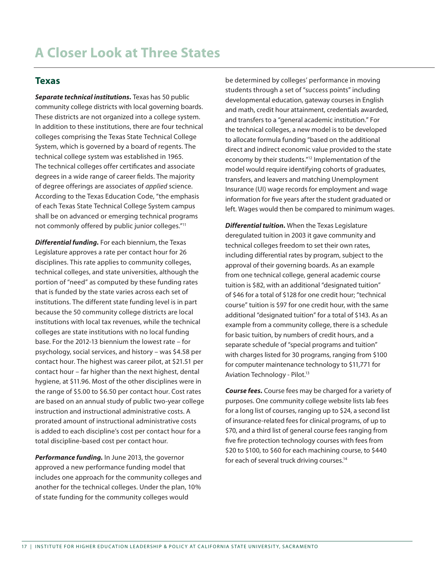#### **Texas**

*Separate technical institutions.* Texas has 50 public community college districts with local governing boards. These districts are not organized into a college system. In addition to these institutions, there are four technical colleges comprising the Texas State Technical College System, which is governed by a board of regents. The technical college system was established in 1965. The technical colleges offer certificates and associate degrees in a wide range of career fields. The majority of degree offerings are associates of *applied* science. According to the Texas Education Code, "the emphasis of each Texas State Technical College System campus shall be on advanced or emerging technical programs not commonly offered by public junior colleges."11

*Differential funding.* For each biennium, the Texas Legislature approves a rate per contact hour for 26 disciplines. This rate applies to community colleges, technical colleges, and state universities, although the portion of "need" as computed by these funding rates that is funded by the state varies across each set of institutions. The different state funding level is in part because the 50 community college districts are local institutions with local tax revenues, while the technical colleges are state institutions with no local funding base. For the 2012-13 biennium the lowest rate – for psychology, social services, and history – was \$4.58 per contact hour. The highest was career pilot, at \$21.51 per contact hour – far higher than the next highest, dental hygiene, at \$11.96. Most of the other disciplines were in the range of \$5.00 to \$6.50 per contact hour. Cost rates are based on an annual study of public two-year college instruction and instructional administrative costs. A prorated amount of instructional administrative costs is added to each discipline's cost per contact hour for a total discipline-based cost per contact hour.

*Performance funding.* In June 2013, the governor approved a new performance funding model that includes one approach for the community colleges and another for the technical colleges. Under the plan, 10% of state funding for the community colleges would

be determined by colleges' performance in moving students through a set of "success points" including developmental education, gateway courses in English and math, credit hour attainment, credentials awarded, and transfers to a "general academic institution." For the technical colleges, a new model is to be developed to allocate formula funding "based on the additional direct and indirect economic value provided to the state economy by their students."12 Implementation of the model would require identifying cohorts of graduates, transfers, and leavers and matching Unemployment Insurance (UI) wage records for employment and wage information for five years after the student graduated or left. Wages would then be compared to minimum wages.

*Differential tuition.* When the Texas Legislature deregulated tuition in 2003 it gave community and technical colleges freedom to set their own rates, including differential rates by program, subject to the approval of their governing boards. As an example from one technical college, general academic course tuition is \$82, with an additional "designated tuition" of \$46 for a total of \$128 for one credit hour; "technical course" tuition is \$97 for one credit hour, with the same additional "designated tuition" for a total of \$143. As an example from a community college, there is a schedule for basic tuition, by numbers of credit hours, and a separate schedule of "special programs and tuition" with charges listed for 30 programs, ranging from \$100 for computer maintenance technology to \$11,771 for Aviation Technology - Pilot.<sup>13</sup>

*Course fees.* Course fees may be charged for a variety of purposes. One community college website lists lab fees for a long list of courses, ranging up to \$24, a second list of insurance-related fees for clinical programs, of up to \$70, and a third list of general course fees ranging from five fire protection technology courses with fees from \$20 to \$100, to \$60 for each machining course, to \$440 for each of several truck driving courses.<sup>14</sup>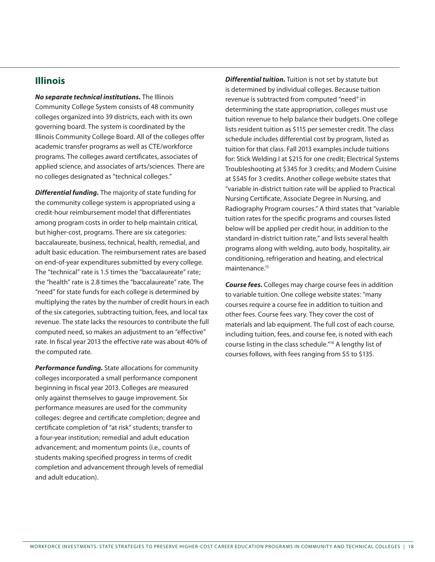#### **Illinois**

*No separate technical institutions.* The Illinois Community College System consists of 48 community colleges organized into 39 districts, each with its own governing board. The system is coordinated by the Illinois Community College Board. All of the colleges offer academic transfer programs as well as CTE/workforce programs. The colleges award certificates, associates of applied science, and associates of arts/sciences. There are no colleges designated as "technical colleges."

*Differential funding.* The majority of state funding for the community college system is appropriated using a credit-hour reimbursement model that differentiates among program costs in order to help maintain critical, but higher-cost, programs. There are six categories: baccalaureate, business, technical, health, remedial, and adult basic education. The reimbursement rates are based on end-of-year expenditures submitted by every college. The "technical" rate is 1.5 times the "baccalaureate" rate; the "health" rate is 2.8 times the "baccalaureate" rate. The "need" for state funds for each college is determined by multiplying the rates by the number of credit hours in each of the six categories, subtracting tuition, fees, and local tax revenue. The state lacks the resources to contribute the full computed need, so makes an adjustment to an "effective" rate. In fiscal year 2013 the effective rate was about 40% of the computed rate.

*Performance funding.* State allocations for community colleges incorporated a small performance component beginning in fiscal year 2013. Colleges are measured only against themselves to gauge improvement. Six performance measures are used for the community colleges: degree and certificate completion; degree and certificate completion of "at risk" students; transfer to a four-year institution; remedial and adult education advancement; and momentum points (i.e., counts of students making specified progress in terms of credit completion and advancement through levels of remedial and adult education).

*Differential tuition.* Tuition is not set by statute but is determined by individual colleges. Because tuition revenue is subtracted from computed "need" in determining the state appropriation, colleges must use tuition revenue to help balance their budgets. One college lists resident tuition as \$115 per semester credit. The class schedule includes differential cost by program, listed as tuition for that class. Fall 2013 examples include tuitions for: Stick Welding I at \$215 for one credit; Electrical Systems Troubleshooting at \$345 for 3 credits; and Modern Cuisine at \$545 for 3 credits. Another college website states that "variable in-district tuition rate will be applied to Practical Nursing Certificate, Associate Degree in Nursing, and Radiography Program courses." A third states that "variable tuition rates for the specific programs and courses listed below will be applied per credit hour, in addition to the standard in-district tuition rate," and lists several health programs along with welding, auto body, hospitality, air conditioning, refrigeration and heating, and electrical maintenance.<sup>15</sup>

*Course fees.* Colleges may charge course fees in addition to variable tuition. One college website states: "many courses require a course fee in addition to tuition and other fees. Course fees vary. They cover the cost of materials and lab equipment. The full cost of each course, including tuition, fees, and course fee, is noted with each course listing in the class schedule."16 A lengthy list of courses follows, with fees ranging from \$5 to \$135.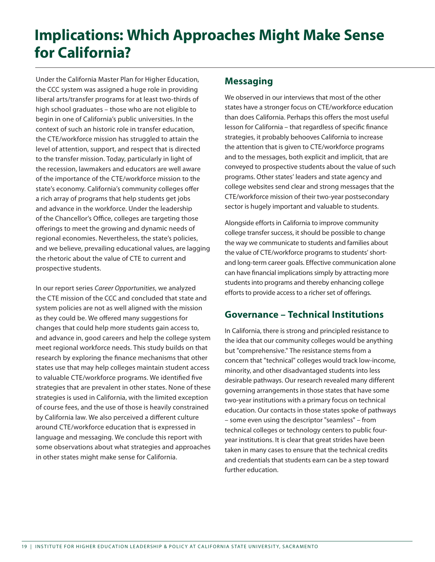# **Implications: Which Approaches Might Make Sense for California?**

Under the California Master Plan for Higher Education, the CCC system was assigned a huge role in providing liberal arts/transfer programs for at least two-thirds of high school graduates – those who are not eligible to begin in one of California's public universities. In the context of such an historic role in transfer education, the CTE/workforce mission has struggled to attain the level of attention, support, and respect that is directed to the transfer mission. Today, particularly in light of the recession, lawmakers and educators are well aware of the importance of the CTE/workforce mission to the state's economy. California's community colleges offer a rich array of programs that help students get jobs and advance in the workforce. Under the leadership of the Chancellor's Office, colleges are targeting those offerings to meet the growing and dynamic needs of regional economies. Nevertheless, the state's policies, and we believe, prevailing educational values, are lagging the rhetoric about the value of CTE to current and prospective students.

In our report series *Career Opportunities*, we analyzed the CTE mission of the CCC and concluded that state and system policies are not as well aligned with the mission as they could be. We offered many suggestions for changes that could help more students gain access to, and advance in, good careers and help the college system meet regional workforce needs. This study builds on that research by exploring the finance mechanisms that other states use that may help colleges maintain student access to valuable CTE/workforce programs. We identified five strategies that are prevalent in other states. None of these strategies is used in California, with the limited exception of course fees, and the use of those is heavily constrained by California law. We also perceived a different culture around CTE/workforce education that is expressed in language and messaging. We conclude this report with some observations about what strategies and approaches in other states might make sense for California.

#### **Messaging**

We observed in our interviews that most of the other states have a stronger focus on CTE/workforce education than does California. Perhaps this offers the most useful lesson for California – that regardless of specific finance strategies, it probably behooves California to increase the attention that is given to CTE/workforce programs and to the messages, both explicit and implicit, that are conveyed to prospective students about the value of such programs. Other states' leaders and state agency and college websites send clear and strong messages that the CTE/workforce mission of their two-year postsecondary sector is hugely important and valuable to students.

Alongside efforts in California to improve community college transfer success, it should be possible to change the way we communicate to students and families about the value of CTE/workforce programs to students' shortand long-term career goals. Effective communication alone can have financial implications simply by attracting more students into programs and thereby enhancing college efforts to provide access to a richer set of offerings.

#### **Governance – Technical Institutions**

In California, there is strong and principled resistance to the idea that our community colleges would be anything but "comprehensive." The resistance stems from a concern that "technical" colleges would track low-income, minority, and other disadvantaged students into less desirable pathways. Our research revealed many different governing arrangements in those states that have some two-year institutions with a primary focus on technical education. Our contacts in those states spoke of pathways – some even using the descriptor "seamless" – from technical colleges or technology centers to public fouryear institutions. It is clear that great strides have been taken in many cases to ensure that the technical credits and credentials that students earn can be a step toward further education.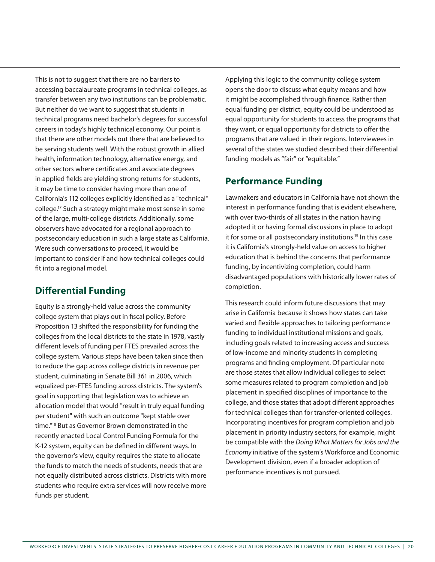This is not to suggest that there are no barriers to accessing baccalaureate programs in technical colleges, as transfer between any two institutions can be problematic. But neither do we want to suggest that students in technical programs need bachelor's degrees for successful careers in today's highly technical economy. Our point is that there are other models out there that are believed to be serving students well. With the robust growth in allied health, information technology, alternative energy, and other sectors where certificates and associate degrees in applied fields are yielding strong returns for students, it may be time to consider having more than one of California's 112 colleges explicitly identified as a "technical" college.17 Such a strategy might make most sense in some of the large, multi-college districts. Additionally, some observers have advocated for a regional approach to postsecondary education in such a large state as California. Were such conversations to proceed, it would be important to consider if and how technical colleges could fit into a regional model.

#### **Differential Funding**

Equity is a strongly-held value across the community college system that plays out in fiscal policy. Before Proposition 13 shifted the responsibility for funding the colleges from the local districts to the state in 1978, vastly different levels of funding per FTES prevailed across the college system. Various steps have been taken since then to reduce the gap across college districts in revenue per student, culminating in Senate Bill 361 in 2006, which equalized per-FTES funding across districts. The system's goal in supporting that legislation was to achieve an allocation model that would "result in truly equal funding per student" with such an outcome "kept stable over time."18 But as Governor Brown demonstrated in the recently enacted Local Control Funding Formula for the K-12 system, equity can be defined in different ways. In the governor's view, equity requires the state to allocate the funds to match the needs of students, needs that are not equally distributed across districts. Districts with more students who require extra services will now receive more funds per student.

Applying this logic to the community college system opens the door to discuss what equity means and how it might be accomplished through finance. Rather than equal funding per district, equity could be understood as equal opportunity for students to access the programs that they want, or equal opportunity for districts to offer the programs that are valued in their regions. Interviewees in several of the states we studied described their differential funding models as "fair" or "equitable."

#### **Performance Funding**

Lawmakers and educators in California have not shown the interest in performance funding that is evident elsewhere, with over two-thirds of all states in the nation having adopted it or having formal discussions in place to adopt it for some or all postsecondary institutions.<sup>19</sup> In this case it is California's strongly-held value on access to higher education that is behind the concerns that performance funding, by incentivizing completion, could harm disadvantaged populations with historically lower rates of completion.

This research could inform future discussions that may arise in California because it shows how states can take varied and flexible approaches to tailoring performance funding to individual institutional missions and goals, including goals related to increasing access and success of low-income and minority students in completing programs and finding employment. Of particular note are those states that allow individual colleges to select some measures related to program completion and job placement in specified disciplines of importance to the college, and those states that adopt different approaches for technical colleges than for transfer-oriented colleges. Incorporating incentives for program completion and job placement in priority industry sectors, for example, might be compatible with the *Doing What Matters for Jobs and the Economy* initiative of the system's Workforce and Economic Development division, even if a broader adoption of performance incentives is not pursued.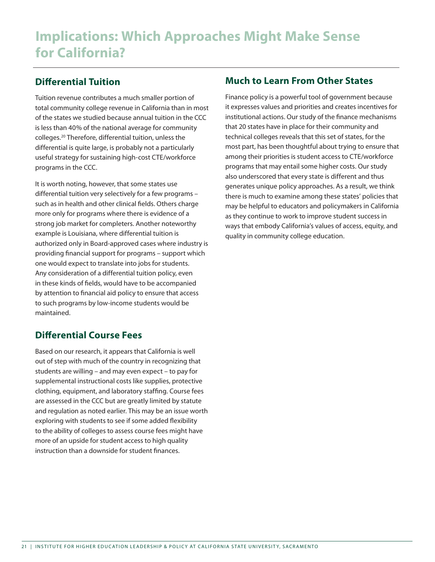#### **Differential Tuition**

Tuition revenue contributes a much smaller portion of total community college revenue in California than in most of the states we studied because annual tuition in the CCC is less than 40% of the national average for community colleges.20 Therefore, differential tuition, unless the differential is quite large, is probably not a particularly useful strategy for sustaining high-cost CTE/workforce programs in the CCC.

It is worth noting, however, that some states use differential tuition very selectively for a few programs – such as in health and other clinical fields. Others charge more only for programs where there is evidence of a strong job market for completers. Another noteworthy example is Louisiana, where differential tuition is authorized only in Board-approved cases where industry is providing financial support for programs – support which one would expect to translate into jobs for students. Any consideration of a differential tuition policy, even in these kinds of fields, would have to be accompanied by attention to financial aid policy to ensure that access to such programs by low-income students would be maintained.

#### **Differential Course Fees**

Based on our research, it appears that California is well out of step with much of the country in recognizing that students are willing – and may even expect – to pay for supplemental instructional costs like supplies, protective clothing, equipment, and laboratory staffing. Course fees are assessed in the CCC but are greatly limited by statute and regulation as noted earlier. This may be an issue worth exploring with students to see if some added flexibility to the ability of colleges to assess course fees might have more of an upside for student access to high quality instruction than a downside for student finances.

#### **Much to Learn From Other States**

Finance policy is a powerful tool of government because it expresses values and priorities and creates incentives for institutional actions. Our study of the finance mechanisms that 20 states have in place for their community and technical colleges reveals that this set of states, for the most part, has been thoughtful about trying to ensure that among their priorities is student access to CTE/workforce programs that may entail some higher costs. Our study also underscored that every state is different and thus generates unique policy approaches. As a result, we think there is much to examine among these states' policies that may be helpful to educators and policymakers in California as they continue to work to improve student success in ways that embody California's values of access, equity, and quality in community college education.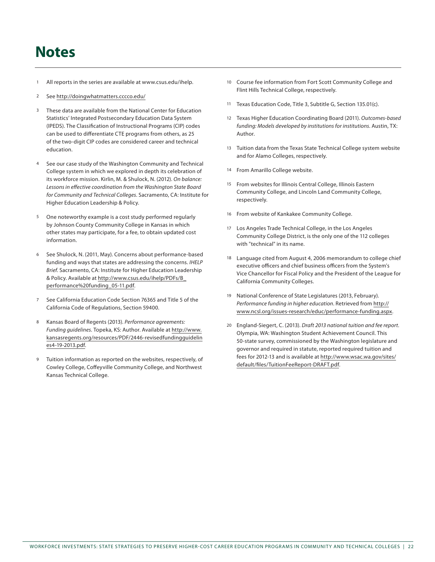## **Notes**

- All reports in the series are available at www.csus.edu/ihelp.
- 2 See http://doingwhatmatters.cccco.edu/
- 3 These data are available from the National Center for Education Statistics' Integrated Postsecondary Education Data System (IPEDS). The Classification of Instructional Programs (CIP) codes can be used to differentiate CTE programs from others, as 25 of the two-digit CIP codes are considered career and technical education.
- 4 See our case study of the Washington Community and Technical College system in which we explored in depth its celebration of its workforce mission. Kirlin, M. & Shulock, N. (2012). *On balance: Lessons in effective coordination from the Washington State Board for Community and Technical Colleges*. Sacramento, CA: Institute for Higher Education Leadership & Policy.
- 5 One noteworthy example is a cost study performed regularly by Johnson County Community College in Kansas in which other states may participate, for a fee, to obtain updated cost information.
- 6 See Shulock, N. (2011, May). Concerns about performance-based funding and ways that states are addressing the concerns. *IHELP Brief*. Sacramento, CA: Institute for Higher Education Leadership & Policy. Available at http://www.csus.edu/ihelp/PDFs/B\_ performance%20funding\_05-11.pdf.
- 7 See California Education Code Section 76365 and Title 5 of the California Code of Regulations, Section 59400.
- 8 Kansas Board of Regents (2013). *Performance agreements: Funding guidelines*. Topeka, KS: Author. Available at http://www. kansasregents.org/resources/PDF/2446-revisedfundingguidelin es4-19-2013.pdf.
- 9 Tuition information as reported on the websites, respectively, of Cowley College, Coffeyville Community College, and Northwest Kansas Technical College.
- 10 Course fee information from Fort Scott Community College and Flint Hills Technical College, respectively.
- 11 Texas Education Code, Title 3, Subtitle G, Section 135.01(c).
- 12 Texas Higher Education Coordinating Board (2011). *Outcomes-based funding: Models developed by institutions for institutions*. Austin, TX: Author.
- 13 Tuition data from the Texas State Technical College system website and for Alamo Colleges, respectively.
- 14 From Amarillo College website.
- 15 From websites for Illinois Central College, Illinois Eastern Community College, and Lincoln Land Community College, respectively.
- 16 From website of Kankakee Community College.
- Los Angeles Trade Technical College, in the Los Angeles Community College District, is the only one of the 112 colleges with "technical" in its name.
- 18 Language cited from August 4, 2006 memorandum to college chief executive officers and chief business officers from the System's Vice Chancellor for Fiscal Policy and the President of the League for California Community Colleges.
- 19 National Conference of State Legislatures (2013, February). *Performance funding in higher education*. Retrieved from http:// www.ncsl.org/issues-research/educ/performance-funding.aspx.
- 20 England-Siegert, C. (2013). *Draft 2013 national tuition and fee report*. Olympia, WA: Washington Student Achievement Council. This 50-state survey, commissioned by the Washington legislature and governor and required in statute, reported required tuition and fees for 2012-13 and is available at http://www.wsac.wa.gov/sites/ default/files/TuitionFeeReport-DRAFT.pdf.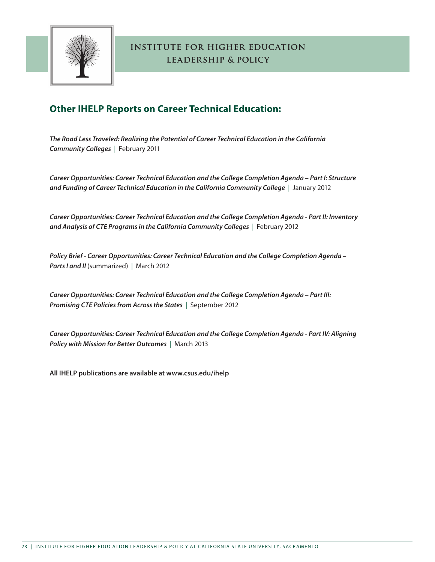

### **Other IHELP Reports on Career Technical Education:**

*The Road Less Traveled: Realizing the Potential of Career Technical Education in the California Community Colleges* | February 2011

*Career Opportunities: Career Technical Education and the College Completion Agenda – Part I: Structure and Funding of Career Technical Education in the California Community College* | January 2012

*Career Opportunities: Career Technical Education and the College Completion Agenda - Part II: Inventory and Analysis of CTE Programs in the California Community Colleges* | February 2012

*Policy Brief - Career Opportunities: Career Technical Education and the College Completion Agenda –*  **Parts I and II** (summarized) | March 2012

*Career Opportunities: Career Technical Education and the College Completion Agenda – Part III: Promising CTE Policies from Across the States* | September 2012

*Career Opportunities: Career Technical Education and the College Completion Agenda - Part IV: Aligning Policy with Mission for Better Outcomes* | March 2013

**All IHELP publications are available at www.csus.edu/ihelp**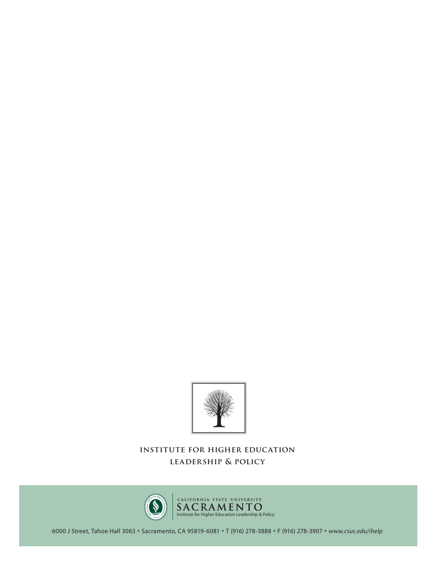



6000 J Street, Tahoe Hall 3063 **•** Sacramento, CA 95819-6081 **•** T (916) 278-3888 **•** F (916) 278-3907 **•** *www.csus.edu/ihelp*